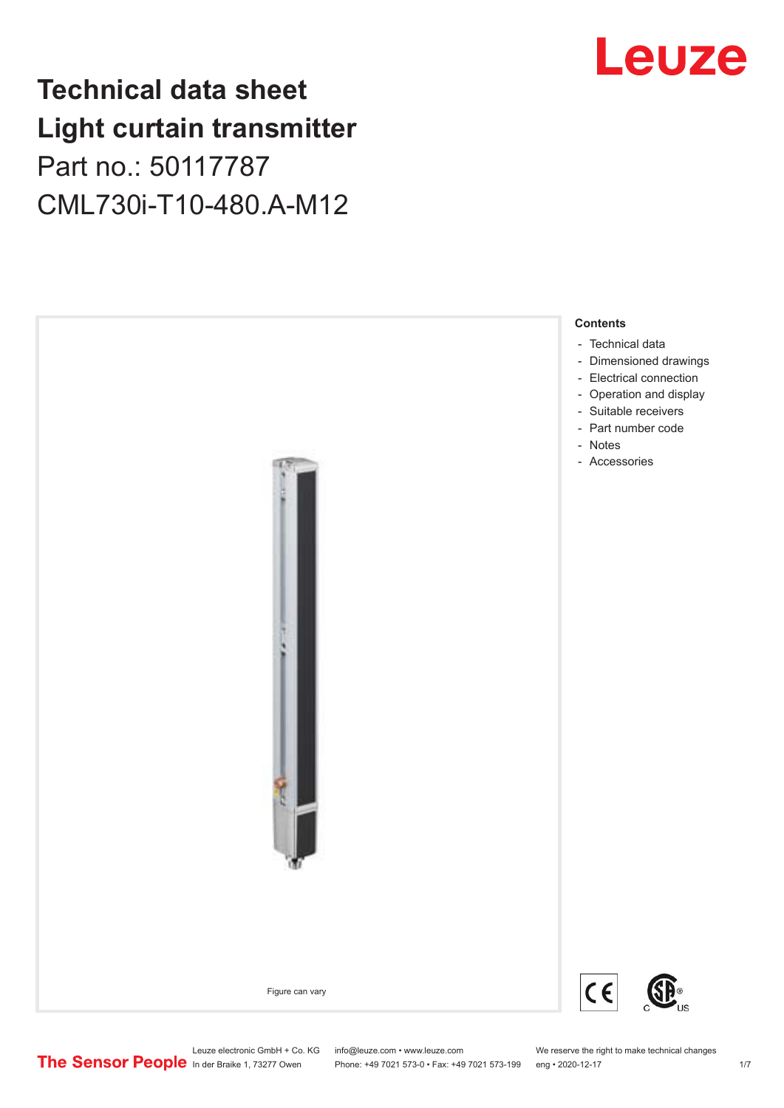## **Technical data sheet Light curtain transmitter** Part no.: 50117787 CML730i-T10-480.A-M12



## Leuze

Leuze electronic GmbH + Co. KG info@leuze.com • www.leuze.com We reserve the right to make technical changes<br>
The Sensor People in der Braike 1, 73277 Owen Phone: +49 7021 573-0 • Fax: +49 7021 573-199 eng • 2020-12-17

Phone: +49 7021 573-0 • Fax: +49 7021 573-199 eng • 2020-12-17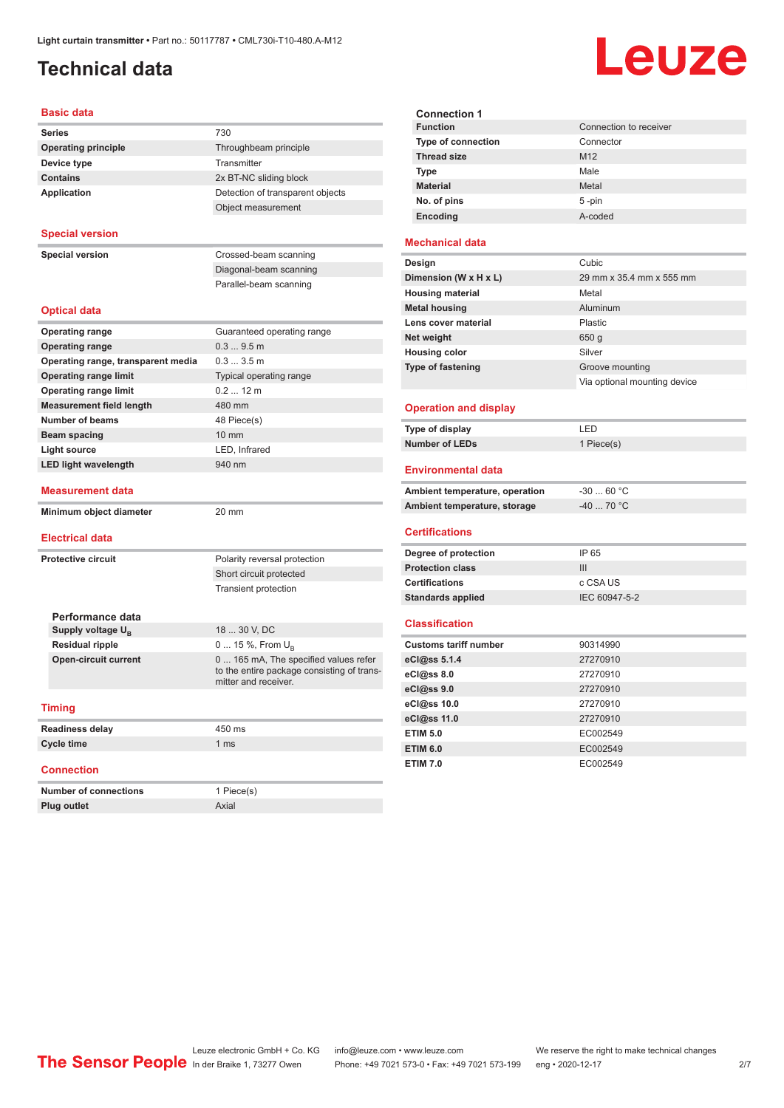## <span id="page-1-0"></span>**Technical data**

# Leuze

| <b>Basic data</b>                                   |                                                                    |  |  |  |
|-----------------------------------------------------|--------------------------------------------------------------------|--|--|--|
| <b>Series</b>                                       | 730                                                                |  |  |  |
| <b>Operating principle</b><br>Throughbeam principle |                                                                    |  |  |  |
| Device type                                         | Transmitter                                                        |  |  |  |
| <b>Contains</b>                                     | 2x BT-NC sliding block                                             |  |  |  |
| <b>Application</b>                                  | Detection of transparent objects                                   |  |  |  |
|                                                     | Object measurement                                                 |  |  |  |
| <b>Special version</b>                              |                                                                    |  |  |  |
| <b>Special version</b>                              | Crossed-beam scanning                                              |  |  |  |
|                                                     | Diagonal-beam scanning                                             |  |  |  |
|                                                     | Parallel-beam scanning                                             |  |  |  |
| <b>Optical data</b>                                 |                                                                    |  |  |  |
| <b>Operating range</b>                              | Guaranteed operating range                                         |  |  |  |
| <b>Operating range</b>                              | 0.39.5m                                                            |  |  |  |
| Operating range, transparent media                  | 0.33.5m                                                            |  |  |  |
| <b>Operating range limit</b>                        | Typical operating range                                            |  |  |  |
| <b>Operating range limit</b>                        | $0.212$ m                                                          |  |  |  |
| <b>Measurement field length</b>                     | 480 mm                                                             |  |  |  |
| <b>Number of beams</b>                              | 48 Piece(s)                                                        |  |  |  |
| Beam spacing                                        | 10 mm                                                              |  |  |  |
| <b>Light source</b>                                 | LED, Infrared                                                      |  |  |  |
| <b>LED light wavelength</b>                         | 940 nm                                                             |  |  |  |
| Measurement data                                    |                                                                    |  |  |  |
| Minimum object diameter                             | 20 mm                                                              |  |  |  |
| <b>Electrical data</b>                              |                                                                    |  |  |  |
| <b>Protective circuit</b>                           | Polarity reversal protection                                       |  |  |  |
|                                                     | Short circuit protected                                            |  |  |  |
|                                                     | <b>Transient protection</b>                                        |  |  |  |
| Performance data                                    |                                                                    |  |  |  |
| Supply voltage U <sub>B</sub>                       | 18  30 V, DC                                                       |  |  |  |
| <b>Residual ripple</b>                              | 0  15 %, From $U_{\rm B}$                                          |  |  |  |
| <b>Open-circuit current</b>                         | 0  165 mA, The specified values refer                              |  |  |  |
|                                                     | to the entire package consisting of trans-<br>mitter and receiver. |  |  |  |
| <b>Timing</b>                                       |                                                                    |  |  |  |
| <b>Readiness delay</b>                              | 450 ms                                                             |  |  |  |
| <b>Cycle time</b>                                   | 1 <sub>ms</sub>                                                    |  |  |  |
| <b>Connection</b>                                   |                                                                    |  |  |  |
| <b>Number of connections</b>                        | 1 Piece(s)                                                         |  |  |  |
| <b>Plug outlet</b>                                  | Axial                                                              |  |  |  |

| <b>Connection 1</b>       |                        |
|---------------------------|------------------------|
| <b>Function</b>           | Connection to receiver |
| <b>Type of connection</b> | Connector              |
| <b>Thread size</b>        | M <sub>12</sub>        |
| <b>Type</b>               | Male                   |
| <b>Material</b>           | Metal                  |
| No. of pins               | $5 - pin$              |
| Encoding                  | A-coded                |

### **Mechanical data**

| Design                   | Cubic                        |
|--------------------------|------------------------------|
| Dimension (W x H x L)    | 29 mm x 35.4 mm x 555 mm     |
| <b>Housing material</b>  | Metal                        |
| <b>Metal housing</b>     | Aluminum                     |
| Lens cover material      | Plastic                      |
| Net weight               | 650 g                        |
| <b>Housing color</b>     | Silver                       |
| <b>Type of fastening</b> | Groove mounting              |
|                          | Via optional mounting device |

### **Operation and display**

| Type of display | ' FD.      |
|-----------------|------------|
| Number of LEDs  | 1 Piece(s) |

#### **Environmental data**

| Ambient temperature, operation | -30  60 °C |
|--------------------------------|------------|
| Ambient temperature, storage   | -40  70 °C |

#### **Certifications**

| Degree of protection     | IP 65         |
|--------------------------|---------------|
| <b>Protection class</b>  | Ш             |
| <b>Certifications</b>    | c CSA US      |
| <b>Standards applied</b> | IEC 60947-5-2 |

#### **Classification**

| <b>Customs tariff number</b> | 90314990 |
|------------------------------|----------|
| eCl@ss 5.1.4                 | 27270910 |
| eCl@ss 8.0                   | 27270910 |
| eCl@ss 9.0                   | 27270910 |
| eCl@ss 10.0                  | 27270910 |
| eCl@ss 11.0                  | 27270910 |
| <b>ETIM 5.0</b>              | EC002549 |
| <b>ETIM 6.0</b>              | EC002549 |
| <b>ETIM 7.0</b>              | EC002549 |

Leuze electronic GmbH + Co. KG info@leuze.com • www.leuze.com We reserve the right to make technical changes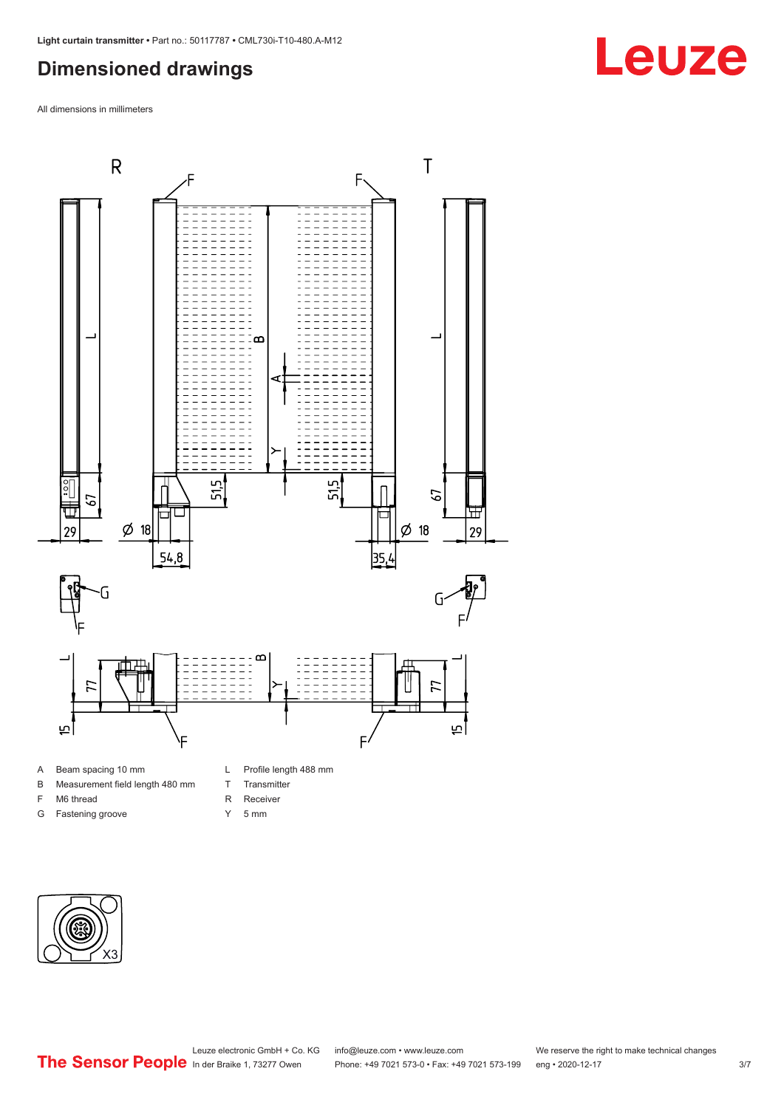### <span id="page-2-0"></span>**Dimensioned drawings**

All dimensions in millimeters



B Measurement field length 480 mm

F M6 thread G Fastening groove

- T Transmitter
	-
	- R Receiver
	- Y 5 mm



## **Leuze**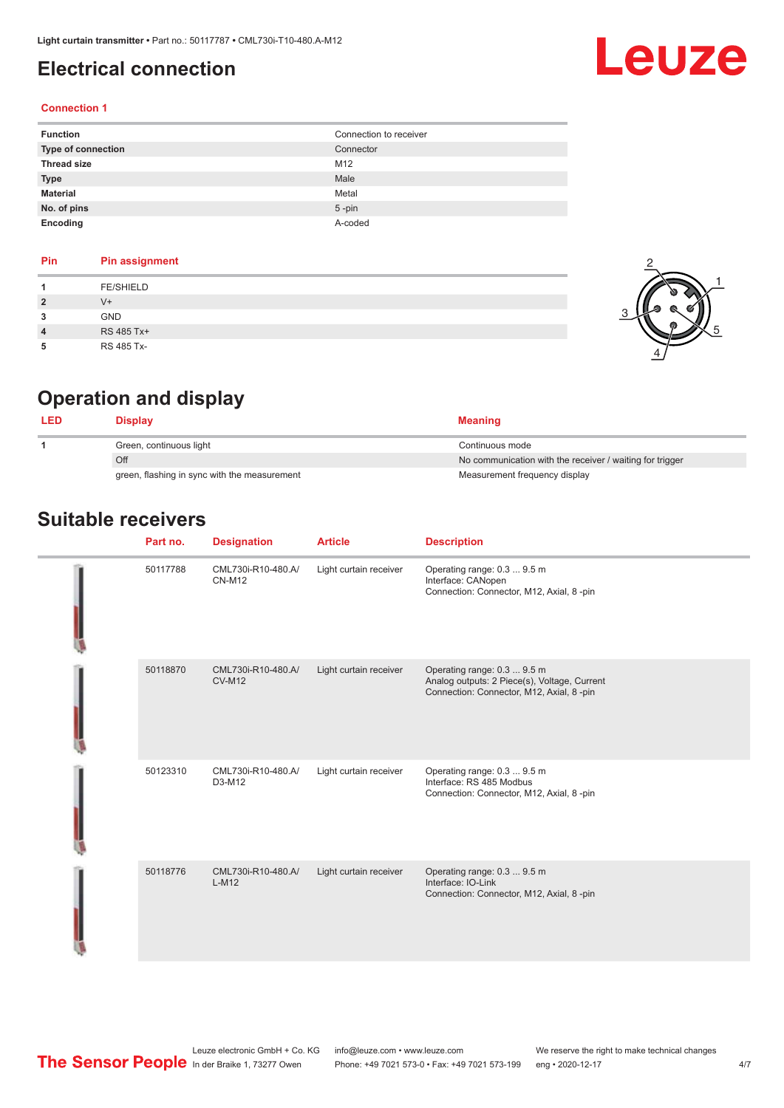### <span id="page-3-0"></span>**Electrical connection**

#### **Connection 1**

| <b>Function</b>    | Connection to receiver |
|--------------------|------------------------|
| Type of connection | Connector              |
| <b>Thread size</b> | M12                    |
| <b>Type</b>        | Male                   |
| <b>Material</b>    | Metal                  |
| No. of pins        | $5$ -pin               |
| Encoding           | A-coded                |

| Pin                     | <b>Pin assignment</b> |
|-------------------------|-----------------------|
|                         | <b>FE/SHIELD</b>      |
| $\overline{\mathbf{2}}$ | $V +$                 |
| 3                       | <b>GND</b>            |
| 4                       | RS 485 Tx+            |
|                         | RS 485 Tx-            |



Leuze

## **Operation and display**

|                                              | Display                 | <b>Meaning</b>                                           |
|----------------------------------------------|-------------------------|----------------------------------------------------------|
|                                              | Green, continuous light | Continuous mode                                          |
|                                              | Off                     | No communication with the receiver / waiting for trigger |
| green, flashing in sync with the measurement |                         | Measurement frequency display                            |

### **Suitable receivers**

| Part no. | <b>Designation</b>                  | <b>Article</b>         | <b>Description</b>                                                                                                      |
|----------|-------------------------------------|------------------------|-------------------------------------------------------------------------------------------------------------------------|
| 50117788 | CML730i-R10-480.A/<br><b>CN-M12</b> | Light curtain receiver | Operating range: 0.3  9.5 m<br>Interface: CANopen<br>Connection: Connector, M12, Axial, 8 -pin                          |
| 50118870 | CML730i-R10-480.A/<br><b>CV-M12</b> | Light curtain receiver | Operating range: 0.3  9.5 m<br>Analog outputs: 2 Piece(s), Voltage, Current<br>Connection: Connector, M12, Axial, 8-pin |
| 50123310 | CML730i-R10-480.A/<br>D3-M12        | Light curtain receiver | Operating range: 0.3  9.5 m<br>Interface: RS 485 Modbus<br>Connection: Connector, M12, Axial, 8 -pin                    |
| 50118776 | CML730i-R10-480.A/<br>$L-M12$       | Light curtain receiver | Operating range: 0.3  9.5 m<br>Interface: IO-Link<br>Connection: Connector, M12, Axial, 8 -pin                          |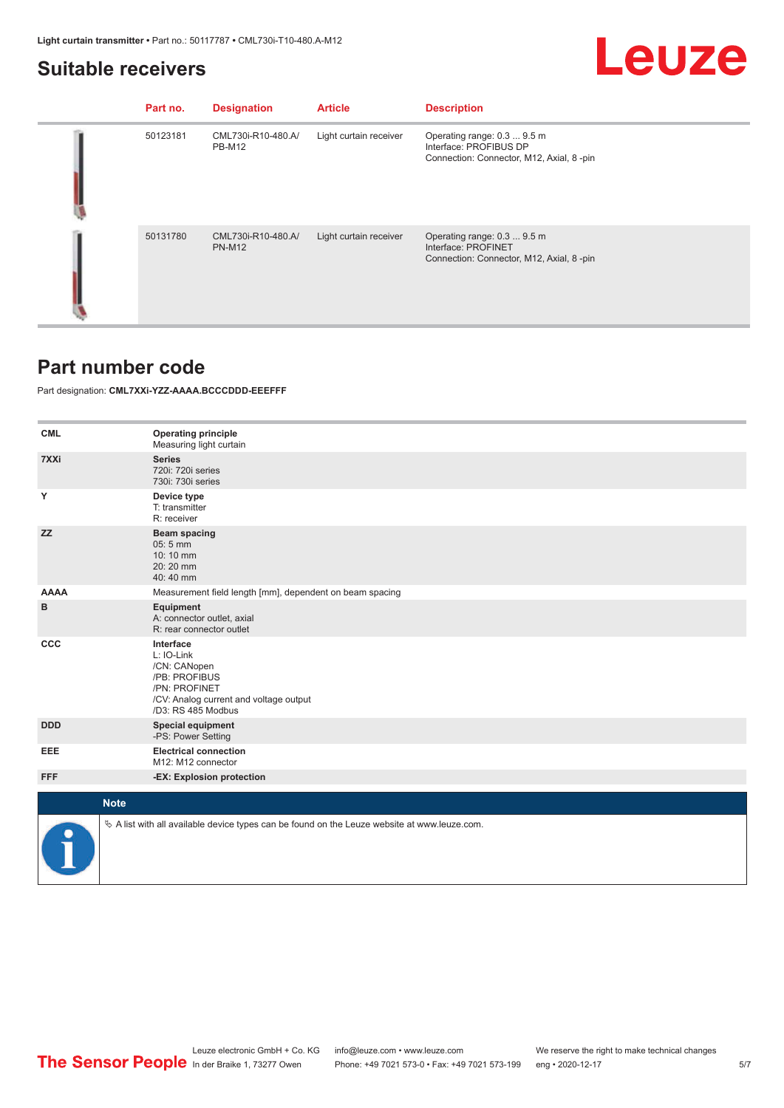## Leuze

### <span id="page-4-0"></span>**Suitable receivers**

| Part no. | <b>Designation</b>                  | <b>Article</b>         | <b>Description</b>                                                                                 |
|----------|-------------------------------------|------------------------|----------------------------------------------------------------------------------------------------|
| 50123181 | CML730i-R10-480.A/<br><b>PB-M12</b> | Light curtain receiver | Operating range: 0.3  9.5 m<br>Interface: PROFIBUS DP<br>Connection: Connector, M12, Axial, 8 -pin |
| 50131780 | CML730i-R10-480.A<br><b>PN-M12</b>  | Light curtain receiver | Operating range: 0.3  9.5 m<br>Interface: PROFINET<br>Connection: Connector, M12, Axial, 8-pin     |

### **Part number code**

Part designation: **CML7XXi-YZZ-AAAA.BCCCDDD-EEEFFF**

| <b>CML</b>  | <b>Operating principle</b><br>Measuring light curtain                                                                                     |
|-------------|-------------------------------------------------------------------------------------------------------------------------------------------|
| 7XXi        | <b>Series</b><br>720i: 720i series<br>730i: 730i series                                                                                   |
| Υ           | Device type<br>T: transmitter<br>R: receiver                                                                                              |
| <b>ZZ</b>   | <b>Beam spacing</b><br>$05:5$ mm<br>10:10 mm<br>20:20 mm<br>40:40 mm                                                                      |
| <b>AAAA</b> | Measurement field length [mm], dependent on beam spacing                                                                                  |
| B           | Equipment<br>A: connector outlet, axial<br>R: rear connector outlet                                                                       |
| CCC         | Interface<br>L: IO-Link<br>/CN: CANopen<br>/PB: PROFIBUS<br>/PN: PROFINET<br>/CV: Analog current and voltage output<br>/D3: RS 485 Modbus |
| <b>DDD</b>  | <b>Special equipment</b><br>-PS: Power Setting                                                                                            |
| EEE         | <b>Electrical connection</b><br>M12: M12 connector                                                                                        |
| <b>FFF</b>  | -EX: Explosion protection                                                                                                                 |
| <b>Note</b> |                                                                                                                                           |
|             |                                                                                                                                           |
|             | $\&$ A list with all available device types can be found on the Leuze website at www.leuze.com.                                           |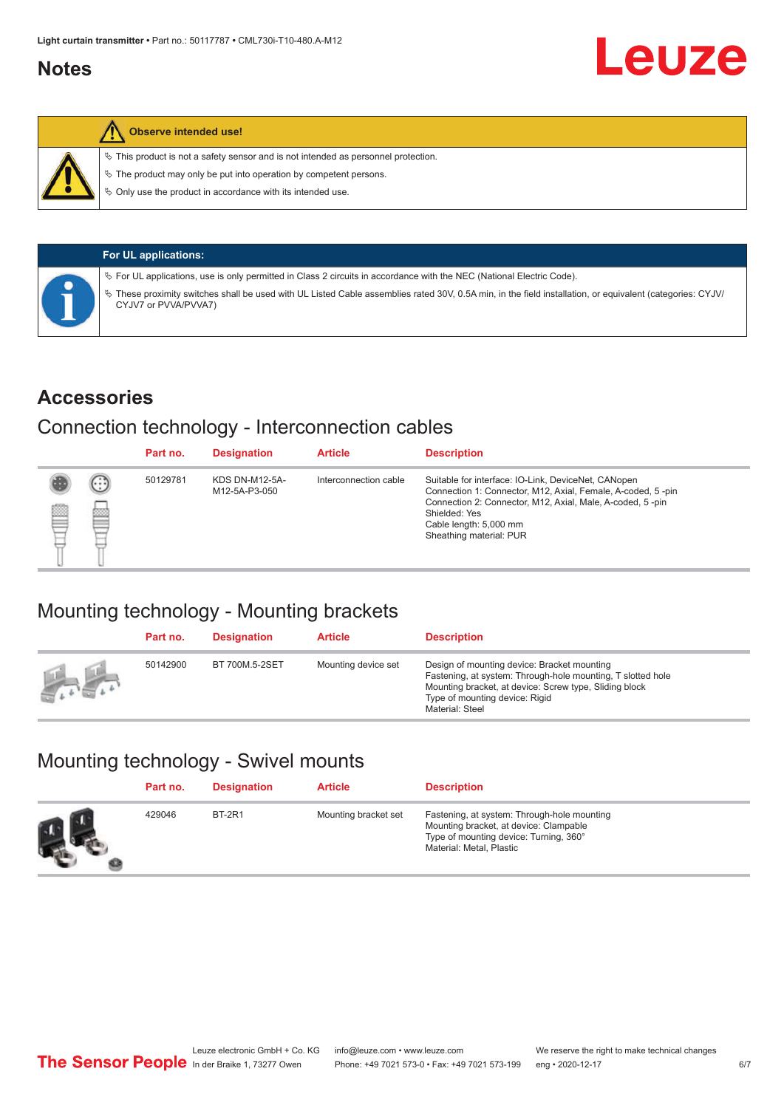### <span id="page-5-0"></span>**Notes**

### **Observe intended use!**

 $\%$  This product is not a safety sensor and is not intended as personnel protection.

 $\%$  The product may only be put into operation by competent persons.

 $\%$  Only use the product in accordance with its intended use.

| <b>For UL applications:</b>                                                                                                                                                       |
|-----------------------------------------------------------------------------------------------------------------------------------------------------------------------------------|
| $\%$ For UL applications, use is only permitted in Class 2 circuits in accordance with the NEC (National Electric Code).                                                          |
| V These proximity switches shall be used with UL Listed Cable assemblies rated 30V, 0.5A min, in the field installation, or equivalent (categories: CYJV/<br>CYJV7 or PVVA/PVVA7) |

### **Accessories**

### Connection technology - Interconnection cables

|   |                             | Part no. | <b>Designation</b>                     | <b>Article</b>        | <b>Description</b>                                                                                                                                                                                                                                    |
|---|-----------------------------|----------|----------------------------------------|-----------------------|-------------------------------------------------------------------------------------------------------------------------------------------------------------------------------------------------------------------------------------------------------|
| ▩ | $\left( \cdot \right)$<br>œ | 50129781 | <b>KDS DN-M12-5A-</b><br>M12-5A-P3-050 | Interconnection cable | Suitable for interface: IO-Link, DeviceNet, CANopen<br>Connection 1: Connector, M12, Axial, Female, A-coded, 5-pin<br>Connection 2: Connector, M12, Axial, Male, A-coded, 5-pin<br>Shielded: Yes<br>Cable length: 5,000 mm<br>Sheathing material: PUR |

### Mounting technology - Mounting brackets

|               | Part no. | <b>Designation</b> | <b>Article</b>      | <b>Description</b>                                                                                                                                                                                                        |
|---------------|----------|--------------------|---------------------|---------------------------------------------------------------------------------------------------------------------------------------------------------------------------------------------------------------------------|
| <b>Altres</b> | 50142900 | BT 700M.5-2SET     | Mounting device set | Design of mounting device: Bracket mounting<br>Fastening, at system: Through-hole mounting, T slotted hole<br>Mounting bracket, at device: Screw type, Sliding block<br>Type of mounting device: Rigid<br>Material: Steel |

## Mounting technology - Swivel mounts

| Part no. | <b>Designation</b> | <b>Article</b>       | <b>Description</b>                                                                                                                                          |
|----------|--------------------|----------------------|-------------------------------------------------------------------------------------------------------------------------------------------------------------|
| 429046   | <b>BT-2R1</b>      | Mounting bracket set | Fastening, at system: Through-hole mounting<br>Mounting bracket, at device: Clampable<br>Type of mounting device: Turning, 360°<br>Material: Metal, Plastic |

Leuze